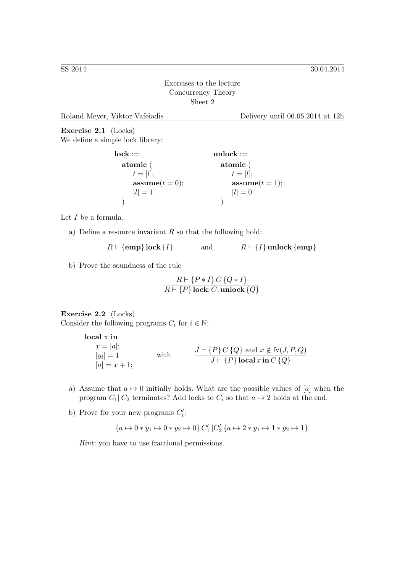Exercises to the lecture Concurrency Theory Sheet 2

Roland Meyer, Viktor Vafeiadis Delivery until 06.05.2014 at 12h

Exercise 2.1 (Locks) We define a simple lock library:

> $lock :=$ atomic (  $t=[l];$  $\textbf{assume}(t=0);$  $[l] = 1$ ) unlock := atomic (  $t=[l];$  $\textbf{assume}(t=1);$  $[l] = 0$ )

Let I be a formula.

a) Define a resource invariant  $R$  so that the following hold:

 $R \vdash \{\text{emp}\}\text{lock}\{I\}$  and  $R \vdash \{I\}\text{unlock}\{\text{emp}\}$ 

b) Prove the soundness of the rule

$$
\frac{R\vdash \{P\ast I\}\,C\,\{Q\ast I\}}{R\vdash \{P\}\,\text{lock};C;\text{unlock}\,\{Q\}}
$$

## Exercise 2.2 (Locks)

Consider the following programs  $C_i$  for  $i \in \mathbb{N}$ :

```
local x in
x = [a];[y_i]=1[a] = x + 1;with J \vdash \{P\} C \{Q\} \text{ and } x \notin \text{fv}(J, P, Q)<br>J \vdash \{P\} \textbf{local } x \textbf{ in } C \{Q\}
```
- a) Assume that  $a \mapsto 0$  initially holds. What are the possible values of [a] when the program  $C_1||C_2$  terminates? Add locks to  $C_i$  so that  $a \mapsto 2$  holds at the end.
- b) Prove for your new programs  $C_i'$ :

$$
\{a \mapsto 0 \ast y_1 \mapsto 0 \ast y_2 \mapsto 0\} C_1' \|C_2' \{a \mapsto 2 \ast y_1 \mapsto 1 \ast y_2 \mapsto 1\}
$$

Hint: you have to use fractional permissions.